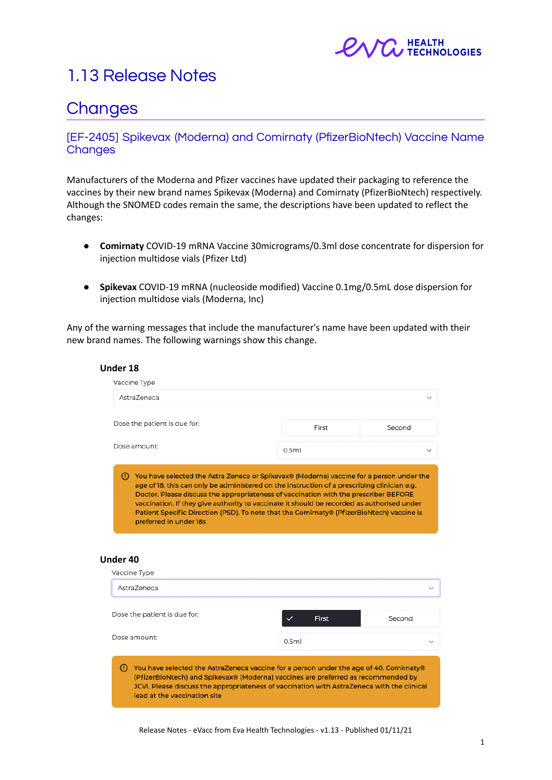

# 1.13 Release Notes

# **Changes**

### [EF-2405] Spikevax (Moderna) and Comirnaty (PfizerBioNtech) Vaccine Name **Changes**

Manufacturers of the Moderna and Pfizer vaccines have updated their packaging to reference the vaccines by their new brand names Spikevax (Moderna) and Comirnaty (PfizerBioNtech) respectively. Although the SNOMED codes remain the same, the descriptions have been updated to reflect the changes:

- **Comirnaty** COVID-19 mRNA Vaccine 30micrograms/0.3ml dose concentrate for dispersion for injection multidose vials (Pfizer Ltd)
- **Spikevax** COVID-19 mRNA (nucleoside modified) Vaccine 0.1mg/0.5mL dose dispersion for injection multidose vials (Moderna, Inc)

Any of the warning messages that include the manufacturer's name have been updated with their new brand names. The following warnings show this change.

| Under 18                                                                                      |                                                                                             |              |
|-----------------------------------------------------------------------------------------------|---------------------------------------------------------------------------------------------|--------------|
| Vaccine Type                                                                                  |                                                                                             |              |
| AstraZeneca                                                                                   |                                                                                             | $\checkmark$ |
| Dose the patient is due for:                                                                  | First                                                                                       | Second       |
| Dose amount:                                                                                  | 0.5ml                                                                                       | $\checkmark$ |
| You have selected the Astra Zeneca or Spikevax® (Moderna) vaccine for a person under the<br>ω |                                                                                             |              |
|                                                                                               | age of 18, this can only be administered on the instruction of a prescribing clinician e.g. |              |

#### **Under 40**

| Vaccine Type                                                                                                                                                                                                                                                                                              |              |              |
|-----------------------------------------------------------------------------------------------------------------------------------------------------------------------------------------------------------------------------------------------------------------------------------------------------------|--------------|--------------|
| AstraZeneca                                                                                                                                                                                                                                                                                               |              | $\check{ }$  |
| Dose the patient is due for:                                                                                                                                                                                                                                                                              | <b>First</b> | Second       |
| Dose amount:                                                                                                                                                                                                                                                                                              | 0.5ml        | $\checkmark$ |
| You have selected the AstraZeneca vaccine for a person under the age of 40. Comirnaty®<br>(PfizerBioNtech) and Spikevax® (Moderna) vaccines are preferred as recommended by<br>JCVI. Please discuss the appropriateness of vaccination with AstraZeneca with the clinical<br>lead at the vaccination site |              |              |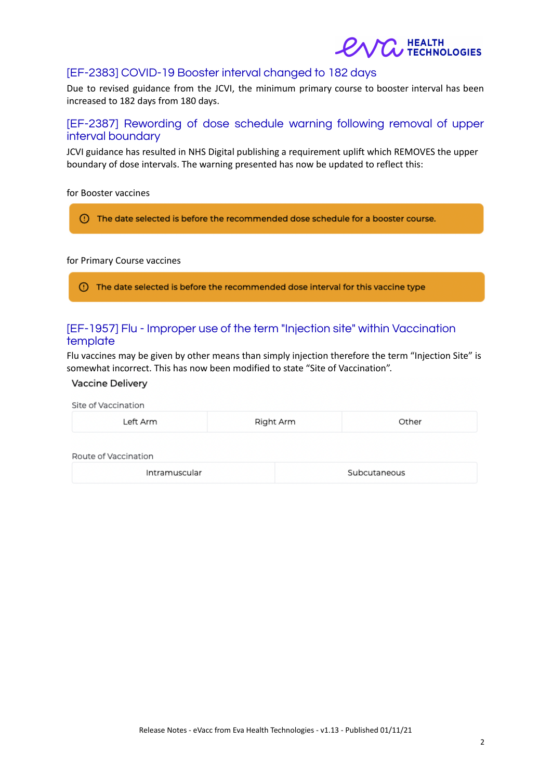

## [EF-2383] COVID-19 Booster interval changed to 182 days

Due to revised guidance from the JCVI, the minimum primary course to booster interval has been increased to 182 days from 180 days.

### [EF-2387] Rewording of dose schedule warning following removal of upper interval boundary

JCVI guidance has resulted in NHS Digital publishing a requirement uplift which REMOVES the upper boundary of dose intervals. The warning presented has now be updated to reflect this:

for Booster vaccines

(!) The date selected is before the recommended dose schedule for a booster course.

#### for Primary Course vaccines

(1) The date selected is before the recommended dose interval for this vaccine type

### [EF-1957] Flu - Improper use of the term "Injection site" within Vaccination template

Flu vaccines may be given by other means than simply injection therefore the term "Injection Site" is somewhat incorrect. This has now been modified to state "Site of Vaccination".

#### Vaccine Delivery

| Site of Vaccination  |           |              |  |  |  |
|----------------------|-----------|--------------|--|--|--|
| Left Arm             | Right Arm | Other        |  |  |  |
| Route of Vaccination |           |              |  |  |  |
| Intramuscular        |           | Subcutaneous |  |  |  |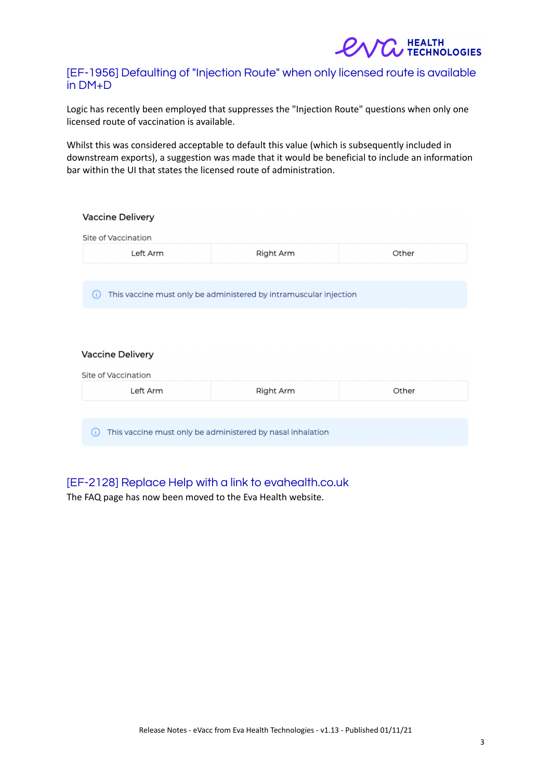

### [EF-1956] Defaulting of "Injection Route" when only licensed route is available in DM+D

Logic has recently been employed that suppresses the "Injection Route" questions when only one licensed route of vaccination is available.

Whilst this was considered acceptable to default this value (which is subsequently included in downstream exports), a suggestion was made that it would be beneficial to include an information bar within the UI that states the licensed route of administration.

| Vaccine Delivery    |                                                                   |       |
|---------------------|-------------------------------------------------------------------|-------|
| Site of Vaccination |                                                                   |       |
| Left Arm            | Right Arm                                                         | Other |
|                     |                                                                   |       |
| (i)                 | This vaccine must only be administered by intramuscular injection |       |
|                     |                                                                   |       |
|                     |                                                                   |       |
| Vaccine Delivery    |                                                                   |       |
| Site of Vaccination |                                                                   |       |
| Left Arm            | Right Arm                                                         | Other |
|                     |                                                                   |       |
| (i)                 | This vaccine must only be administered by nasal inhalation        |       |
|                     |                                                                   |       |

## [EF-2128] Replace Help with a link to evahealth.co.uk

The FAQ page has now been moved to the Eva Health website.